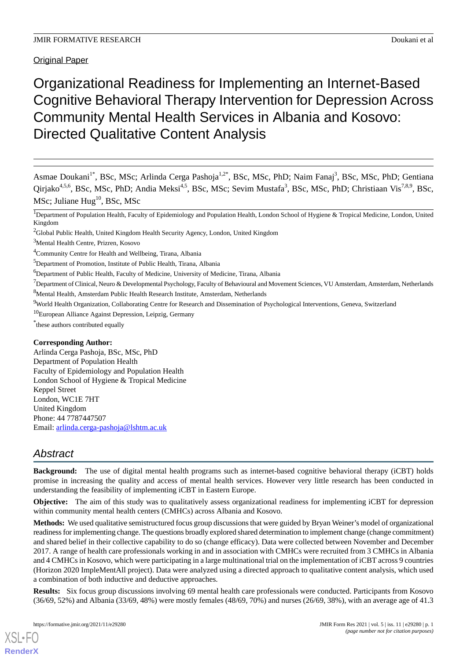Original Paper

# Organizational Readiness for Implementing an Internet-Based Cognitive Behavioral Therapy Intervention for Depression Across Community Mental Health Services in Albania and Kosovo: Directed Qualitative Content Analysis

Asmae Doukani<sup>1\*</sup>, BSc, MSc; Arlinda Cerga Pashoja<sup>1,2\*</sup>, BSc, MSc, PhD; Naim Fanaj<sup>3</sup>, BSc, MSc, PhD; Gentiana Qirjako<sup>4,5,6</sup>, BSc, MSc, PhD; Andia Meksi<sup>4,5</sup>, BSc, MSc; Sevim Mustafa<sup>3</sup>, BSc, MSc, PhD; Christiaan Vis<sup>7,8,9</sup>, BSc, MSc; Juliane  $Hug^{10}$ , BSc, MSc

<sup>1</sup>Department of Population Health, Faculty of Epidemiology and Population Health, London School of Hygiene & Tropical Medicine, London, United Kingdom

- <sup>9</sup>World Health Organization, Collaborating Centre for Research and Dissemination of Psychological Interventions, Geneva, Switzerland
- <sup>10</sup>European Alliance Against Depression, Leipzig, Germany

\* these authors contributed equally

## **Corresponding Author:**

Arlinda Cerga Pashoja, BSc, MSc, PhD Department of Population Health Faculty of Epidemiology and Population Health London School of Hygiene & Tropical Medicine Keppel Street London, WC1E 7HT United Kingdom Phone: 44 7787447507 Email: [arlinda.cerga-pashoja@lshtm.ac.uk](mailto:arlinda.cerga-pashoja@lshtm.ac.uk)

## *Abstract*

**Background:** The use of digital mental health programs such as internet-based cognitive behavioral therapy (iCBT) holds promise in increasing the quality and access of mental health services. However very little research has been conducted in understanding the feasibility of implementing iCBT in Eastern Europe.

**Objective:** The aim of this study was to qualitatively assess organizational readiness for implementing iCBT for depression within community mental health centers (CMHCs) across Albania and Kosovo.

**Methods:** We used qualitative semistructured focus group discussions that were guided by Bryan Weiner's model of organizational readiness for implementing change. The questions broadly explored shared determination to implement change (change commitment) and shared belief in their collective capability to do so (change efficacy). Data were collected between November and December 2017. A range of health care professionals working in and in association with CMHCs were recruited from 3 CMHCs in Albania and 4 CMHCs in Kosovo, which were participating in a large multinational trial on the implementation of iCBT across 9 countries (Horizon 2020 ImpleMentAll project). Data were analyzed using a directed approach to qualitative content analysis, which used a combination of both inductive and deductive approaches.

**Results:** Six focus group discussions involving 69 mental health care professionals were conducted. Participants from Kosovo (36/69, 52%) and Albania (33/69, 48%) were mostly females (48/69, 70%) and nurses (26/69, 38%), with an average age of 41.3

<sup>&</sup>lt;sup>2</sup>Global Public Health, United Kingdom Health Security Agency, London, United Kingdom

<sup>3</sup>Mental Health Centre, Prizren, Kosovo

<sup>4</sup>Community Centre for Health and Wellbeing, Tirana, Albania

<sup>&</sup>lt;sup>5</sup>Department of Promotion, Institute of Public Health, Tirana, Albania

<sup>&</sup>lt;sup>6</sup>Department of Public Health, Faculty of Medicine, University of Medicine, Tirana, Albania

 $7$ Department of Clinical, Neuro & Developmental Psychology, Faculty of Behavioural and Movement Sciences, VU Amsterdam, Amsterdam, Netherlands <sup>8</sup>Mental Health, Amsterdam Public Health Research Institute, Amsterdam, Netherlands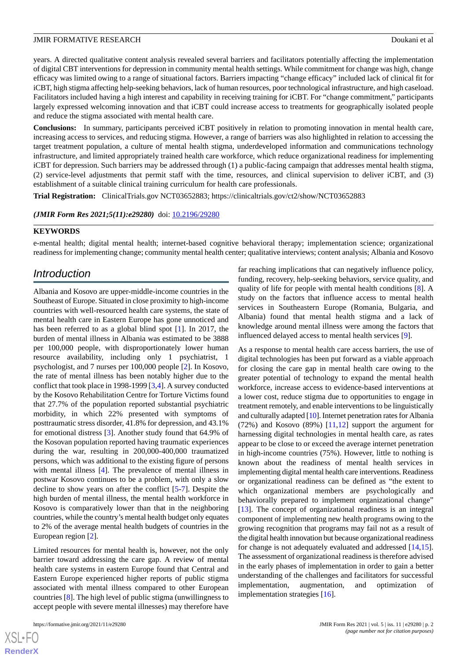years. A directed qualitative content analysis revealed several barriers and facilitators potentially affecting the implementation of digital CBT interventions for depression in community mental health settings. While commitment for change was high, change efficacy was limited owing to a range of situational factors. Barriers impacting "change efficacy" included lack of clinical fit for iCBT, high stigma affecting help-seeking behaviors, lack of human resources, poor technological infrastructure, and high caseload. Facilitators included having a high interest and capability in receiving training for iCBT. For "change commitment," participants largely expressed welcoming innovation and that iCBT could increase access to treatments for geographically isolated people and reduce the stigma associated with mental health care.

**Conclusions:** In summary, participants perceived iCBT positively in relation to promoting innovation in mental health care, increasing access to services, and reducing stigma. However, a range of barriers was also highlighted in relation to accessing the target treatment population, a culture of mental health stigma, underdeveloped information and communications technology infrastructure, and limited appropriately trained health care workforce, which reduce organizational readiness for implementing iCBT for depression. Such barriers may be addressed through (1) a public-facing campaign that addresses mental health stigma, (2) service-level adjustments that permit staff with the time, resources, and clinical supervision to deliver iCBT, and (3) establishment of a suitable clinical training curriculum for health care professionals.

**Trial Registration:** ClinicalTrials.gov NCT03652883; https://clinicaltrials.gov/ct2/show/NCT03652883

*(JMIR Form Res 2021;5(11):e29280)* doi:  $10.2196/29280$ 

## **KEYWORDS**

e-mental health; digital mental health; internet-based cognitive behavioral therapy; implementation science; organizational readiness for implementing change; community mental health center; qualitative interviews; content analysis; Albania and Kosovo

## *Introduction*

Albania and Kosovo are upper-middle-income countries in the Southeast of Europe. Situated in close proximity to high-income countries with well-resourced health care systems, the state of mental health care in Eastern Europe has gone unnoticed and has been referred to as a global blind spot [\[1](#page-11-0)]. In 2017, the burden of mental illness in Albania was estimated to be 3888 per 100,000 people, with disproportionately lower human resource availability, including only 1 psychiatrist, 1 psychologist, and 7 nurses per 100,000 people [\[2](#page-11-1)]. In Kosovo, the rate of mental illness has been notably higher due to the conflict that took place in 1998-1999 [[3](#page-11-2)[,4](#page-11-3)]. A survey conducted by the Kosovo Rehabilitation Centre for Torture Victims found that 27.7% of the population reported substantial psychiatric morbidity, in which 22% presented with symptoms of posttraumatic stress disorder, 41.8% for depression, and 43.1% for emotional distress [\[3](#page-11-2)]. Another study found that 64.9% of the Kosovan population reported having traumatic experiences during the war, resulting in 200,000-400,000 traumatized persons, which was additional to the existing figure of persons with mental illness [[4\]](#page-11-3). The prevalence of mental illness in postwar Kosovo continues to be a problem, with only a slow decline to show years on after the conflict [[5](#page-11-4)[-7](#page-11-5)]. Despite the high burden of mental illness, the mental health workforce in Kosovo is comparatively lower than that in the neighboring countries, while the country's mental health budget only equates to 2% of the average mental health budgets of countries in the European region [[2\]](#page-11-1).

Limited resources for mental health is, however, not the only barrier toward addressing the care gap. A review of mental health care systems in eastern Europe found that Central and Eastern Europe experienced higher reports of public stigma associated with mental illness compared to other European countries [[8\]](#page-11-6). The high level of public stigma (unwillingness to accept people with severe mental illnesses) may therefore have

far reaching implications that can negatively influence policy, funding, recovery, help-seeking behaviors, service quality, and quality of life for people with mental health conditions [[8\]](#page-11-6). A study on the factors that influence access to mental health services in Southeastern Europe (Romania, Bulgaria, and Albania) found that mental health stigma and a lack of knowledge around mental illness were among the factors that influenced delayed access to mental health services [[9\]](#page-11-7).

As a response to mental health care access barriers, the use of digital technologies has been put forward as a viable approach for closing the care gap in mental health care owing to the greater potential of technology to expand the mental health workforce, increase access to evidence-based interventions at a lower cost, reduce stigma due to opportunities to engage in treatment remotely, and enable interventions to be linguistically and culturally adapted [\[10\]](#page-11-8). Internet penetration rates for Albania  $(72%)$  and Kosovo  $(89%)$  [[11,](#page-12-0)[12](#page-12-1)] support the argument for harnessing digital technologies in mental health care, as rates appear to be close to or exceed the average internet penetration in high-income countries (75%). However, little to nothing is known about the readiness of mental health services in implementing digital mental health care interventions. Readiness or organizational readiness can be defined as "the extent to which organizational members are psychologically and behaviorally prepared to implement organizational change" [[13\]](#page-12-2). The concept of organizational readiness is an integral component of implementing new health programs owing to the growing recognition that programs may fail not as a result of the digital health innovation but because organizational readiness for change is not adequately evaluated and addressed [\[14](#page-12-3),[15\]](#page-12-4). The assessment of organizational readiness is therefore advised in the early phases of implementation in order to gain a better understanding of the challenges and facilitators for successful implementation, augmentation, and optimization of implementation strategies [\[16](#page-12-5)].

```
XS\cdotFC
RenderX
```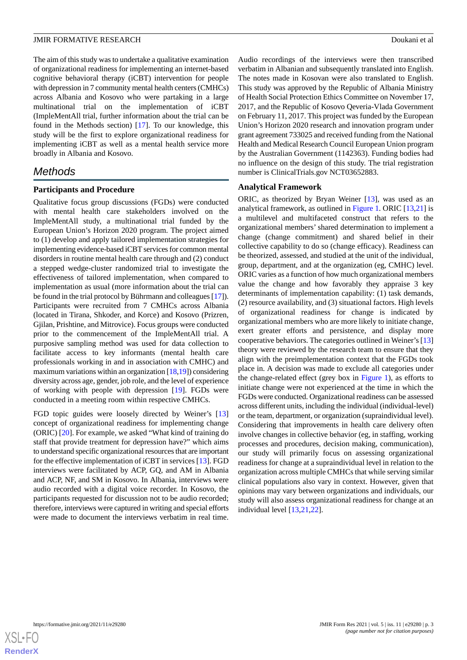The aim of this study was to undertake a qualitative examination of organizational readiness for implementing an internet-based cognitive behavioral therapy (iCBT) intervention for people with depression in 7 community mental health centers (CMHCs) across Albania and Kosovo who were partaking in a large multinational trial on the implementation of iCBT (ImpleMentAll trial, further information about the trial can be found in the Methods section) [[17\]](#page-12-6). To our knowledge, this study will be the first to explore organizational readiness for implementing iCBT as well as a mental health service more broadly in Albania and Kosovo.

## *Methods*

## **Participants and Procedure**

Qualitative focus group discussions (FGDs) were conducted with mental health care stakeholders involved on the ImpleMentAll study, a multinational trial funded by the European Union's Horizon 2020 program. The project aimed to (1) develop and apply tailored implementation strategies for implementing evidence-based iCBT services for common mental disorders in routine mental health care through and (2) conduct a stepped wedge-cluster randomized trial to investigate the effectiveness of tailored implementation, when compared to implementation as usual (more information about the trial can be found in the trial protocol by Bührmann and colleagues [[17\]](#page-12-6)). Participants were recruited from 7 CMHCs across Albania (located in Tirana, Shkoder, and Korce) and Kosovo (Prizren, Gjilan, Prishtine, and Mitrovice). Focus groups were conducted prior to the commencement of the ImpleMentAll trial. A purposive sampling method was used for data collection to facilitate access to key informants (mental health care professionals working in and in association with CMHC) and maximum variations within an organization  $[18,19]$  $[18,19]$  $[18,19]$ ) considering diversity across age, gender, job role, and the level of experience of working with people with depression [\[19](#page-12-8)]. FGDs were conducted in a meeting room within respective CMHCs.

FGD topic guides were loosely directed by Weiner's [\[13](#page-12-2)] concept of organizational readiness for implementing change (ORIC) [[20\]](#page-12-9). For example, we asked "What kind of training do staff that provide treatment for depression have?" which aims to understand specific organizational resources that are important for the effective implementation of iCBT in services [[13\]](#page-12-2). FGD interviews were facilitated by ACP, GQ, and AM in Albania and ACP, NF, and SM in Kosovo. In Albania, interviews were audio recorded with a digital voice recorder. In Kosovo, the participants requested for discussion not to be audio recorded; therefore, interviews were captured in writing and special efforts were made to document the interviews verbatim in real time.

Audio recordings of the interviews were then transcribed verbatim in Albanian and subsequently translated into English. The notes made in Kosovan were also translated to English. This study was approved by the Republic of Albania Ministry of Health Social Protection Ethics Committee on November 17, 2017, and the Republic of Kosovo Qeveria-Vlada Government on February 11, 2017. This project was funded by the European Union's Horizon 2020 research and innovation program under grant agreement 733025 and received funding from the National Health and Medical Research Council European Union program by the Australian Government (1142363). Funding bodies had no influence on the design of this study. The trial registration number is ClinicalTrials.gov NCT03652883.

### **Analytical Framework**

ORIC, as theorized by Bryan Weiner [\[13](#page-12-2)], was used as an analytical framework, as outlined in [Figure 1](#page-3-0). ORIC [[13](#page-12-2)[,21](#page-12-10)] is a multilevel and multifaceted construct that refers to the organizational members' shared determination to implement a change (change commitment) and shared belief in their collective capability to do so (change efficacy). Readiness can be theorized, assessed, and studied at the unit of the individual, group, department, and at the organization (eg, CMHC) level. ORIC varies as a function of how much organizational members value the change and how favorably they appraise 3 key determinants of implementation capability: (1) task demands, (2) resource availability, and (3) situational factors. High levels of organizational readiness for change is indicated by organizational members who are more likely to initiate change, exert greater efforts and persistence, and display more cooperative behaviors. The categories outlined in Weiner's [\[13](#page-12-2)] theory were reviewed by the research team to ensure that they align with the preimplementation context that the FGDs took place in. A decision was made to exclude all categories under the change-related effect (grey box in [Figure 1](#page-3-0)), as efforts to initiate change were not experienced at the time in which the FGDs were conducted. Organizational readiness can be assessed across different units, including the individual (individual-level) or the team, department, or organization (supraindividual level). Considering that improvements in health care delivery often involve changes in collective behavior (eg, in staffing, working processes and procedures, decision making, communication), our study will primarily focus on assessing organizational readiness for change at a supraindividual level in relation to the organization across multiple CMHCs that while serving similar clinical populations also vary in context. However, given that opinions may vary between organizations and individuals, our study will also assess organizational readiness for change at an individual level [\[13](#page-12-2),[21](#page-12-10)[,22](#page-12-11)].

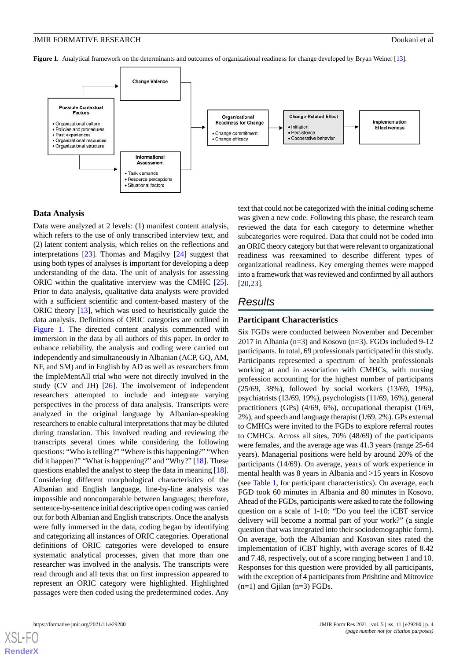<span id="page-3-0"></span>**Figure 1.** Analytical framework on the determinants and outcomes of organizational readiness for change developed by Bryan Weiner [\[13\]](#page-12-2).



#### **Data Analysis**

Data were analyzed at 2 levels: (1) manifest content analysis, which refers to the use of only transcribed interview text, and (2) latent content analysis, which relies on the reflections and interpretations [[23\]](#page-12-12). Thomas and Magilvy [[24\]](#page-12-13) suggest that using both types of analyses is important for developing a deep understanding of the data. The unit of analysis for assessing ORIC within the qualitative interview was the CMHC [[25\]](#page-12-14). Prior to data analysis, qualitative data analysts were provided with a sufficient scientific and content-based mastery of the ORIC theory [\[13](#page-12-2)], which was used to heuristically guide the data analysis. Definitions of ORIC categories are outlined in [Figure 1](#page-3-0). The directed content analysis commenced with immersion in the data by all authors of this paper. In order to enhance reliability, the analysis and coding were carried out independently and simultaneously in Albanian (ACP, GQ, AM, NF, and SM) and in English by AD as well as researchers from the ImpleMentAll trial who were not directly involved in the study (CV and JH) [[26\]](#page-12-15). The involvement of independent researchers attempted to include and integrate varying perspectives in the process of data analysis. Transcripts were analyzed in the original language by Albanian-speaking researchers to enable cultural interpretations that may be diluted during translation. This involved reading and reviewing the transcripts several times while considering the following questions: "Who is telling?" "Where is this happening?" "When did it happen?" "What is happening?" and "Why?" [[18\]](#page-12-7). These questions enabled the analyst to steep the data in meaning [[18\]](#page-12-7). Considering different morphological characteristics of the Albanian and English language, line-by-line analysis was impossible and noncomparable between languages; therefore, sentence-by-sentence initial descriptive open coding was carried out for both Albanian and English transcripts. Once the analysts were fully immersed in the data, coding began by identifying and categorizing all instances of ORIC categories. Operational definitions of ORIC categories were developed to ensure systematic analytical processes, given that more than one researcher was involved in the analysis. The transcripts were read through and all texts that on first impression appeared to represent an ORIC category were highlighted. Highlighted passages were then coded using the predetermined codes. Any

text that could not be categorized with the initial coding scheme was given a new code. Following this phase, the research team reviewed the data for each category to determine whether subcategories were required. Data that could not be coded into an ORIC theory category but that were relevant to organizational readiness was reexamined to describe different types of organizational readiness. Key emerging themes were mapped into a framework that was reviewed and confirmed by all authors [[20,](#page-12-9)[23\]](#page-12-12).

## *Results*

#### **Participant Characteristics**

Six FGDs were conducted between November and December 2017 in Albania (n=3) and Kosovo (n=3). FGDs included 9-12 participants. In total, 69 professionals participated in this study. Participants represented a spectrum of health professionals working at and in association with CMHCs, with nursing profession accounting for the highest number of participants (25/69, 38%), followed by social workers (13/69, 19%), psychiatrists (13/69, 19%), psychologists (11/69, 16%), general practitioners (GPs) (4/69, 6%), occupational therapist (1/69, 2%), and speech and language therapist (1/69, 2%). GPs external to CMHCs were invited to the FGDs to explore referral routes to CMHCs. Across all sites, 70% (48/69) of the participants were females, and the average age was 41.3 years (range 25-64 years). Managerial positions were held by around 20% of the participants (14/69). On average, years of work experience in mental health was 8 years in Albania and >15 years in Kosovo (see [Table 1](#page-4-0), for participant characteristics). On average, each FGD took 60 minutes in Albania and 80 minutes in Kosovo. Ahead of the FGDs, participants were asked to rate the following question on a scale of 1-10: "Do you feel the iCBT service delivery will become a normal part of your work?" (a single question that was integrated into their sociodemographic form). On average, both the Albanian and Kosovan sites rated the implementation of iCBT highly, with average scores of 8.42 and 7.48, respectively, out of a score ranging between 1 and 10. Responses for this question were provided by all participants, with the exception of 4 participants from Prishtine and Mitrovice  $(n=1)$  and Gjilan  $(n=3)$  FGDs.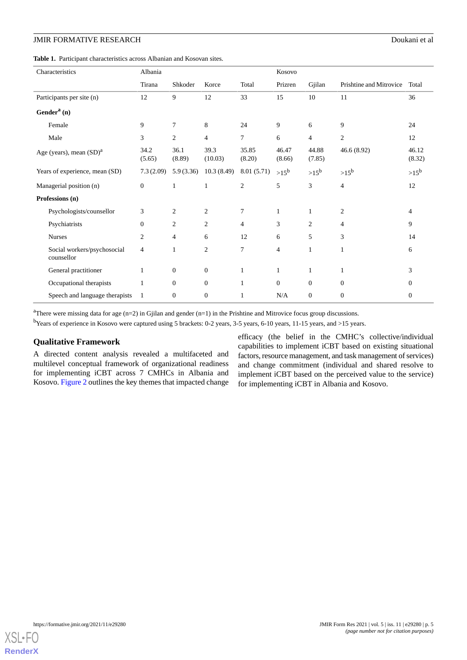<span id="page-4-0"></span>**Table 1.** Participant characteristics across Albanian and Kosovan sites.

| Characteristics                           | Albania        |                  |                  |                 | Kosovo          |                  |                         |                  |
|-------------------------------------------|----------------|------------------|------------------|-----------------|-----------------|------------------|-------------------------|------------------|
|                                           | Tirana         | Shkoder          | Korce            | Total           | Prizren         | Gjilan           | Prishtine and Mitrovice | Total            |
| Participants per site (n)                 | 12             | 9                | 12               | 33              | 15              | 10               | 11                      | 36               |
| Gender <sup>a</sup> $(n)$                 |                |                  |                  |                 |                 |                  |                         |                  |
| Female                                    | 9              | 7                | 8                | 24              | 9               | 6                | 9                       | 24               |
| Male                                      | 3              | $\mathbf{2}$     | $\overline{4}$   | 7               | 6               | $\overline{4}$   | $\overline{c}$          | 12               |
| Age (years), mean $(SD)^a$                | 34.2<br>(5.65) | 36.1<br>(8.89)   | 39.3<br>(10.03)  | 35.85<br>(8.20) | 46.47<br>(8.66) | 44.88<br>(7.85)  | 46.6 (8.92)             | 46.12<br>(8.32)  |
| Years of experience, mean (SD)            | 7.3(2.09)      | 5.9(3.36)        | 10.3(8.49)       | 8.01(5.71)      | $>15^b$         | $>15^b$          | $>15^b$                 | $>15^b$          |
| Managerial position (n)                   | $\overline{0}$ | 1                | 1                | $\overline{2}$  | 5               | 3                | $\overline{4}$          | 12               |
| Professions (n)                           |                |                  |                  |                 |                 |                  |                         |                  |
| Psychologists/counsellor                  | 3              | 2                | $\overline{c}$   | 7               | $\mathbf{1}$    | $\mathbf{1}$     | $\overline{2}$          | 4                |
| Psychiatrists                             | $\mathbf{0}$   | $\overline{c}$   | 2                | $\overline{4}$  | 3               | $\overline{c}$   | $\overline{4}$          | 9                |
| <b>Nurses</b>                             | 2              | $\overline{4}$   | 6                | 12              | 6               | 5                | 3                       | 14               |
| Social workers/psychosocial<br>counsellor | 4              | 1                | $\overline{c}$   | $\overline{7}$  | $\overline{4}$  | 1                | 1                       | 6                |
| General practitioner                      | 1              | $\overline{0}$   | $\mathbf{0}$     | $\mathbf{1}$    | 1               | $\mathbf{1}$     | 1                       | 3                |
| Occupational therapists                   |                | $\mathbf{0}$     | $\mathbf{0}$     | $\mathbf{1}$    | $\mathbf{0}$    | $\mathbf{0}$     | $\mathbf{0}$            | $\overline{0}$   |
| Speech and language therapists            | 1              | $\boldsymbol{0}$ | $\boldsymbol{0}$ | 1               | $\rm N/A$       | $\boldsymbol{0}$ | $\boldsymbol{0}$        | $\boldsymbol{0}$ |

<sup>a</sup>There were missing data for age (n=2) in Gjilan and gender (n=1) in the Prishtine and Mitrovice focus group discussions.

<sup>b</sup>Years of experience in Kosovo were captured using 5 brackets: 0-2 years, 3-5 years, 6-10 years, 11-15 years, and >15 years.

## **Qualitative Framework**

A directed content analysis revealed a multifaceted and multilevel conceptual framework of organizational readiness for implementing iCBT across 7 CMHCs in Albania and Kosovo. [Figure 2](#page-5-0) outlines the key themes that impacted change

efficacy (the belief in the CMHC's collective/individual capabilities to implement iCBT based on existing situational factors, resource management, and task management of services) and change commitment (individual and shared resolve to implement iCBT based on the perceived value to the service) for implementing iCBT in Albania and Kosovo.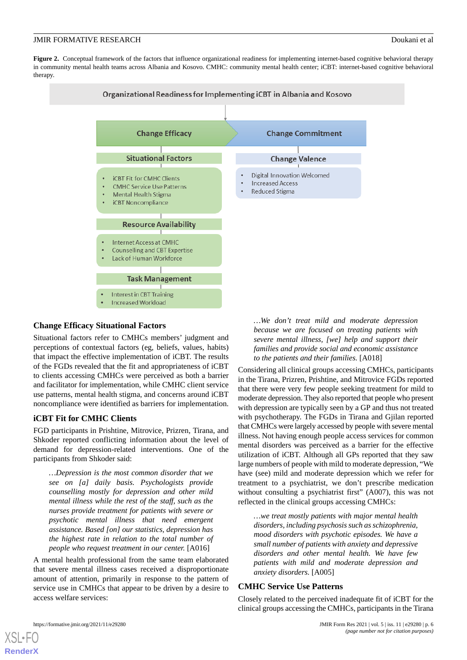<span id="page-5-0"></span>**Figure 2.** Conceptual framework of the factors that influence organizational readiness for implementing internet-based cognitive behavioral therapy in community mental health teams across Albania and Kosovo. CMHC: community mental health center; iCBT: internet-based cognitive behavioral therapy.



## **Change Efficacy Situational Factors**

Situational factors refer to CMHCs members' judgment and perceptions of contextual factors (eg, beliefs, values, habits) that impact the effective implementation of iCBT. The results of the FGDs revealed that the fit and appropriateness of iCBT to clients accessing CMHCs were perceived as both a barrier and facilitator for implementation, while CMHC client service use patterns, mental health stigma, and concerns around iCBT noncompliance were identified as barriers for implementation.

## **iCBT Fit for CMHC Clients**

FGD participants in Prishtine, Mitrovice, Prizren, Tirana, and Shkoder reported conflicting information about the level of demand for depression-related interventions. One of the participants from Shkoder said:

*…Depression is the most common disorder that we see on [a] daily basis. Psychologists provide counselling mostly for depression and other mild mental illness while the rest of the staff, such as the nurses provide treatment for patients with severe or psychotic mental illness that need emergent assistance. Based [on] our statistics, depression has the highest rate in relation to the total number of people who request treatment in our center.* [A016]

A mental health professional from the same team elaborated that severe mental illness cases received a disproportionate amount of attention, primarily in response to the pattern of service use in CMHCs that appear to be driven by a desire to access welfare services:

*…We don't treat mild and moderate depression because we are focused on treating patients with severe mental illness, [we] help and support their families and provide social and economic assistance to the patients and their families.* [A018]

Considering all clinical groups accessing CMHCs, participants in the Tirana, Prizren, Prishtine, and Mitrovice FGDs reported that there were very few people seeking treatment for mild to moderate depression. They also reported that people who present with depression are typically seen by a GP and thus not treated with psychotherapy. The FGDs in Tirana and Gjilan reported that CMHCs were largely accessed by people with severe mental illness. Not having enough people access services for common mental disorders was perceived as a barrier for the effective utilization of iCBT. Although all GPs reported that they saw large numbers of people with mild to moderate depression, "We have (see) mild and moderate depression which we refer for treatment to a psychiatrist, we don't prescribe medication without consulting a psychiatrist first" (A007), this was not reflected in the clinical groups accessing CMHCs:

*…we treat mostly patients with major mental health disorders, including psychosis such as schizophrenia, mood disorders with psychotic episodes. We have a small number of patients with anxiety and depressive disorders and other mental health. We have few patients with mild and moderate depression and anxiety disorders.* [A005]

## **CMHC Service Use Patterns**

Closely related to the perceived inadequate fit of iCBT for the clinical groups accessing the CMHCs, participants in the Tirana

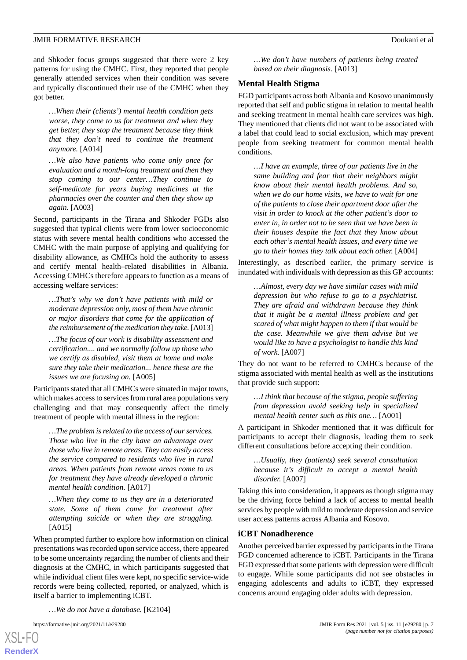and Shkoder focus groups suggested that there were 2 key patterns for using the CMHC. First, they reported that people generally attended services when their condition was severe and typically discontinued their use of the CMHC when they got better.

*…When their (clients') mental health condition gets worse, they come to us for treatment and when they get better, they stop the treatment because they think that they don't need to continue the treatment anymore.* [A014]

*…We also have patients who come only once for evaluation and a month-long treatment and then they stop coming to our center…They continue to self-medicate for years buying medicines at the pharmacies over the counter and then they show up again.* [A003]

Second, participants in the Tirana and Shkoder FGDs also suggested that typical clients were from lower socioeconomic status with severe mental health conditions who accessed the CMHC with the main purpose of applying and qualifying for disability allowance, as CMHCs hold the authority to assess and certify mental health–related disabilities in Albania. Accessing CMHCs therefore appears to function as a means of accessing welfare services:

*…That's why we don't have patients with mild or moderate depression only, most of them have chronic or major disorders that come for the application of the reimbursement of the medication they take.* [A013]

*…The focus of our work is disability assessment and certification.... and we normally follow up those who we certify as disabled, visit them at home and make sure they take their medication... hence these are the issues we are focusing on.* [A005]

Participants stated that all CMHCs were situated in major towns, which makes access to services from rural area populations very challenging and that may consequently affect the timely treatment of people with mental illness in the region:

*…The problem is related to the access of our services. Those who live in the city have an advantage over those who live in remote areas. They can easily access the service compared to residents who live in rural areas. When patients from remote areas come to us for treatment they have already developed a chronic mental health condition.* [A017]

*…When they come to us they are in a deteriorated state. Some of them come for treatment after attempting suicide or when they are struggling.* [A015]

When prompted further to explore how information on clinical presentations was recorded upon service access, there appeared to be some uncertainty regarding the number of clients and their diagnosis at the CMHC, in which participants suggested that while individual client files were kept, no specific service-wide records were being collected, reported, or analyzed, which is itself a barrier to implementing iCBT.

*…We do not have a database.* [K2104]

[XSL](http://www.w3.org/Style/XSL)•FO **[RenderX](http://www.renderx.com/)**

*…We don't have numbers of patients being treated based on their diagnosis.* [A013]

## **Mental Health Stigma**

FGD participants across both Albania and Kosovo unanimously reported that self and public stigma in relation to mental health and seeking treatment in mental health care services was high. They mentioned that clients did not want to be associated with a label that could lead to social exclusion, which may prevent people from seeking treatment for common mental health conditions.

*…I have an example, three of our patients live in the same building and fear that their neighbors might know about their mental health problems. And so, when we do our home visits, we have to wait for one of the patients to close their apartment door after the visit in order to knock at the other patient's door to enter in, in order not to be seen that we have been in their houses despite the fact that they know about each other's mental health issues, and every time we go to their homes they talk about each other.* [A004]

Interestingly, as described earlier, the primary service is inundated with individuals with depression as this GP accounts:

*…Almost, every day we have similar cases with mild depression but who refuse to go to a psychiatrist. They are afraid and withdrawn because they think that it might be a mental illness problem and get scared of what might happen to them if that would be the case. Meanwhile we give them advise but we would like to have a psychologist to handle this kind of work.* [A007]

They do not want to be referred to CMHCs because of the stigma associated with mental health as well as the institutions that provide such support:

*…I think that because of the stigma, people suffering from depression avoid seeking help in specialized mental health center such as this one…* [A001]

A participant in Shkoder mentioned that it was difficult for participants to accept their diagnosis, leading them to seek different consultations before accepting their condition.

*…Usually, they (patients) seek several consultation because it's difficult to accept a mental health disorder.* [A007]

Taking this into consideration, it appears as though stigma may be the driving force behind a lack of access to mental health services by people with mild to moderate depression and service user access patterns across Albania and Kosovo.

#### **iCBT Nonadherence**

Another perceived barrier expressed by participants in the Tirana FGD concerned adherence to iCBT. Participants in the Tirana FGD expressed that some patients with depression were difficult to engage. While some participants did not see obstacles in engaging adolescents and adults to iCBT, they expressed concerns around engaging older adults with depression.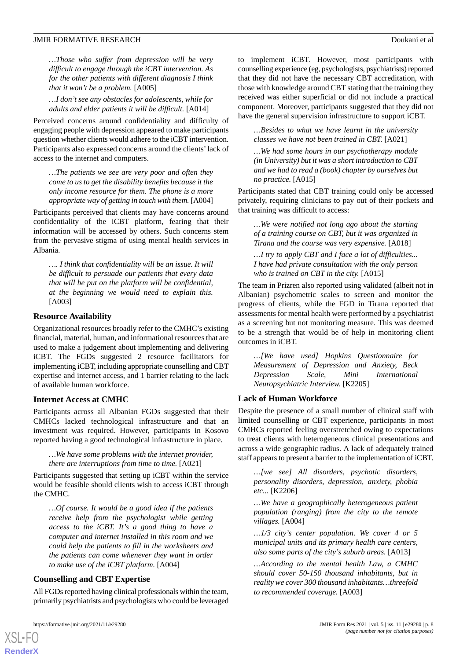#### JMIR FORMATIVE RESEARCH **Doukani et al.** Doukani et al.

*…Those who suffer from depression will be very difficult to engage through the iCBT intervention. As for the other patients with different diagnosis I think that it won't be a problem.* [A005]

*…I don't see any obstacles for adolescents, while for adults and elder patients it will be difficult.* [A014]

Perceived concerns around confidentiality and difficulty of engaging people with depression appeared to make participants question whether clients would adhere to the iCBT intervention. Participants also expressed concerns around the clients'lack of access to the internet and computers.

*…The patients we see are very poor and often they come to us to get the disability benefits because it the only income resource for them. The phone is a more appropriate way of getting in touch with them.* [A004]

Participants perceived that clients may have concerns around confidentiality of the iCBT platform, fearing that their information will be accessed by others. Such concerns stem from the pervasive stigma of using mental health services in Albania.

*…. I think that confidentiality will be an issue. It will be difficult to persuade our patients that every data that will be put on the platform will be confidential, at the beginning we would need to explain this.* [A003]

### **Resource Availability**

Organizational resources broadly refer to the CMHC's existing financial, material, human, and informational resources that are used to make a judgement about implementing and delivering iCBT. The FGDs suggested 2 resource facilitators for implementing iCBT, including appropriate counselling and CBT expertise and internet access, and 1 barrier relating to the lack of available human workforce.

## **Internet Access at CMHC**

Participants across all Albanian FGDs suggested that their CMHCs lacked technological infrastructure and that an investment was required. However, participants in Kosovo reported having a good technological infrastructure in place.

*…We have some problems with the internet provider, there are interruptions from time to time.* [A021]

Participants suggested that setting up iCBT within the service would be feasible should clients wish to access iCBT through the CMHC.

*…Of course. It would be a good idea if the patients receive help from the psychologist while getting access to the iCBT. It's a good thing to have a computer and internet installed in this room and we could help the patients to fill in the worksheets and the patients can come whenever they want in order to make use of the iCBT platform.* [A004]

## **Counselling and CBT Expertise**

All FGDs reported having clinical professionals within the team, primarily psychiatrists and psychologists who could be leveraged

[XSL](http://www.w3.org/Style/XSL)•FO **[RenderX](http://www.renderx.com/)**

to implement iCBT. However, most participants with counselling experience (eg, psychologists, psychiatrists) reported that they did not have the necessary CBT accreditation, with those with knowledge around CBT stating that the training they received was either superficial or did not include a practical component. Moreover, participants suggested that they did not have the general supervision infrastructure to support iCBT.

*…Besides to what we have learnt in the university classes we have not been trained in CBT.* [A021]

*…We had some hours in our psychotherapy module (in University) but it was a short introduction to CBT and we had to read a (book) chapter by ourselves but no practice.* [A015]

Participants stated that CBT training could only be accessed privately, requiring clinicians to pay out of their pockets and that training was difficult to access:

*…We were notified not long ago about the starting of a training course on CBT, but it was organized in Tirana and the course was very expensive.* [A018]

*…I try to apply CBT and I face a lot of difficulties... I have had private consultation with the only person who is trained on CBT in the city.* [A015]

The team in Prizren also reported using validated (albeit not in Albanian) psychometric scales to screen and monitor the progress of clients, while the FGD in Tirana reported that assessments for mental health were performed by a psychiatrist as a screening but not monitoring measure. This was deemed to be a strength that would be of help in monitoring client outcomes in iCBT.

*…[We have used] Hopkins Questionnaire for Measurement of Depression and Anxiety, Beck Depression Scale, Mini International Neuropsychiatric Interview.* [K2205]

## **Lack of Human Workforce**

Despite the presence of a small number of clinical staff with limited counselling or CBT experience, participants in most CMHCs reported feeling overstretched owing to expectations to treat clients with heterogeneous clinical presentations and across a wide geographic radius. A lack of adequately trained staff appears to present a barrier to the implementation of iCBT.

*…[we see] All disorders, psychotic disorders, personality disorders, depression, anxiety, phobia etc...* [K2206]

*…We have a geographically heterogeneous patient population (ranging) from the city to the remote villages.* [A004]

*…1/3 city's center population. We cover 4 or 5 municipal units and its primary health care centers, also some parts of the city's suburb areas.* [A013]

*…According to the mental health Law, a CMHC should cover 50-150 thousand inhabitants, but in reality we cover 300 thousand inhabitants…threefold to recommended coverage.* [A003]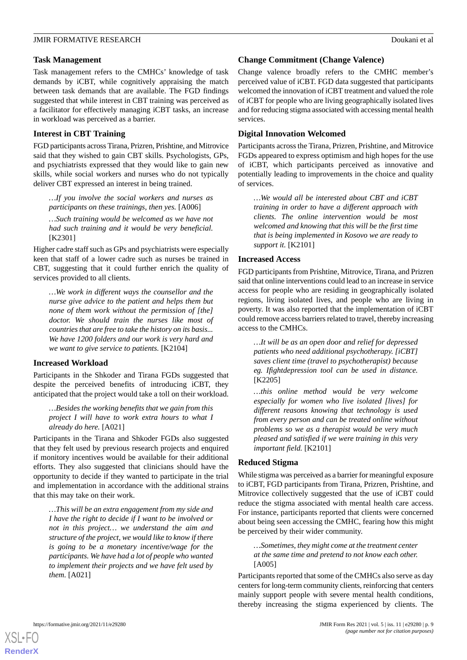## **Task Management**

Task management refers to the CMHCs' knowledge of task demands by iCBT, while cognitively appraising the match between task demands that are available. The FGD findings suggested that while interest in CBT training was perceived as a facilitator for effectively managing iCBT tasks, an increase in workload was perceived as a barrier.

## **Interest in CBT Training**

FGD participants across Tirana, Prizren, Prishtine, and Mitrovice said that they wished to gain CBT skills. Psychologists, GPs, and psychiatrists expressed that they would like to gain new skills, while social workers and nurses who do not typically deliver CBT expressed an interest in being trained.

*…If you involve the social workers and nurses as participants on these trainings, then yes.* [A006]

*…Such training would be welcomed as we have not had such training and it would be very beneficial.* [K2301]

Higher cadre staff such as GPs and psychiatrists were especially keen that staff of a lower cadre such as nurses be trained in CBT, suggesting that it could further enrich the quality of services provided to all clients.

*…We work in different ways the counsellor and the nurse give advice to the patient and helps them but none of them work without the permission of [the] doctor. We should train the nurses like most of countries that are free to take the history on its basis... We have 1200 folders and our work is very hard and we want to give service to patients.* [K2104]

## **Increased Workload**

Participants in the Shkoder and Tirana FGDs suggested that despite the perceived benefits of introducing iCBT, they anticipated that the project would take a toll on their workload.

*…Besides the working benefits that we gain from this project I will have to work extra hours to what I already do here.* [A021]

Participants in the Tirana and Shkoder FGDs also suggested that they felt used by previous research projects and enquired if monitory incentives would be available for their additional efforts. They also suggested that clinicians should have the opportunity to decide if they wanted to participate in the trial and implementation in accordance with the additional strains that this may take on their work.

*…This will be an extra engagement from my side and I have the right to decide if I want to be involved or not in this project… we understand the aim and structure of the project, we would like to know if there is going to be a monetary incentive/wage for the participants. We have had a lot of people who wanted to implement their projects and we have felt used by them.* [A021]

## **Change Commitment (Change Valence)**

Change valence broadly refers to the CMHC member's perceived value of iCBT. FGD data suggested that participants welcomed the innovation of iCBT treatment and valued the role of iCBT for people who are living geographically isolated lives and for reducing stigma associated with accessing mental health services.

## **Digital Innovation Welcomed**

Participants across the Tirana, Prizren, Prishtine, and Mitrovice FGDs appeared to express optimism and high hopes for the use of iCBT, which participants perceived as innovative and potentially leading to improvements in the choice and quality of services.

*…We would all be interested about CBT and iCBT training in order to have a different approach with clients. The online intervention would be most welcomed and knowing that this will be the first time that is being implemented in Kosovo we are ready to support it.* [K2101]

## **Increased Access**

FGD participants from Prishtine, Mitrovice, Tirana, and Prizren said that online interventions could lead to an increase in service access for people who are residing in geographically isolated regions, living isolated lives, and people who are living in poverty. It was also reported that the implementation of iCBT could remove access barriers related to travel, thereby increasing access to the CMHCs.

*…It will be as an open door and relief for depressed patients who need additional psychotherapy. [iCBT] saves client time (travel to psychotherapist) because eg. Ifightdepression tool can be used in distance.* [K2205]

*…this online method would be very welcome especially for women who live isolated [lives] for different reasons knowing that technology is used from every person and can be treated online without problems so we as a therapist would be very much pleased and satisfied if we were training in this very important field.* [K2101]

## **Reduced Stigma**

While stigma was perceived as a barrier for meaningful exposure to iCBT, FGD participants from Tirana, Prizren, Prishtine, and Mitrovice collectively suggested that the use of iCBT could reduce the stigma associated with mental health care access. For instance, participants reported that clients were concerned about being seen accessing the CMHC, fearing how this might be perceived by their wider community.

*…Sometimes, they might come at the treatment center at the same time and pretend to not know each other.* [A005]

Participants reported that some of the CMHCs also serve as day centers for long-term community clients, reinforcing that centers mainly support people with severe mental health conditions, thereby increasing the stigma experienced by clients. The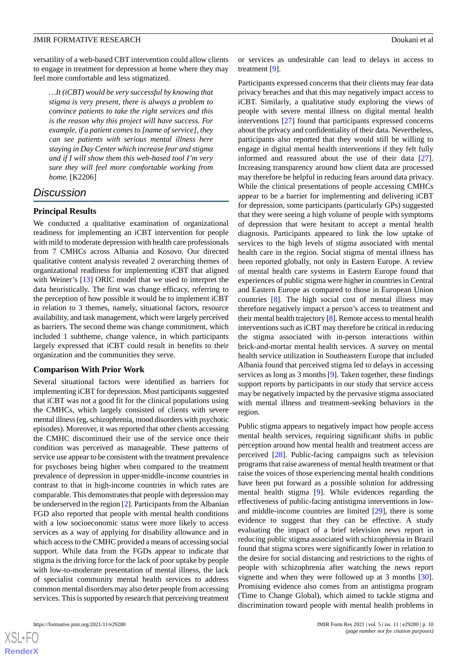versatility of a web-based CBT intervention could allow clients to engage in treatment for depression at home where they may feel more comfortable and less stigmatized.

*…It (iCBT) would be very successful by knowing that stigma is very present, there is always a problem to convince patients to take the right services and this is the reason why this project will have success. For example, if a patient comes to [name of service], they can see patients with serious mental illness here staying in Day Center which increase fear and stigma and if I will show them this web-based tool I'm very sure they will feel more comfortable working from home.* [K2206]

## *Discussion*

## **Principal Results**

We conducted a qualitative examination of organizational readiness for implementing an iCBT intervention for people with mild to moderate depression with health care professionals from 7 CMHCs across Albania and Kosovo. Our directed qualitative content analysis revealed 2 overarching themes of organizational readiness for implementing iCBT that aligned with Weiner's [\[13](#page-12-2)] ORIC model that we used to interpret the data heuristically. The first was change efficacy, referring to the perception of how possible it would be to implement iCBT in relation to 3 themes, namely, situational factors, resource availability, and task management, which were largely perceived as barriers. The second theme was change commitment, which included 1 subtheme, change valence, in which participants largely expressed that iCBT could result in benefits to their organization and the communities they serve.

#### **Comparison With Prior Work**

Several situational factors were identified as barriers for implementing iCBT for depression. Most participants suggested that iCBT was not a good fit for the clinical populations using the CMHCs, which largely consisted of clients with severe mental illness (eg, schizophrenia, mood disorders with psychotic episodes). Moreover, it was reported that other clients accessing the CMHC discontinued their use of the service once their condition was perceived as manageable. These patterns of service use appear to be consistent with the treatment prevalence for psychoses being higher when compared to the treatment prevalence of depression in upper-middle-income countries in contrast to that in high-income countries in which rates are comparable. This demonstrates that people with depression may be underserved in the region [\[2](#page-11-1)]. Participants from the Albanian FGD also reported that people with mental health conditions with a low socioeconomic status were more likely to access services as a way of applying for disability allowance and in which access to the CMHC provided a means of accessing social support. While data from the FGDs appear to indicate that stigma is the driving force for the lack of poor uptake by people with low-to-moderate presentation of mental illness, the lack of specialist community mental health services to address common mental disorders may also deter people from accessing services. This is supported by research that perceiving treatment

 $XSI - F($ **[RenderX](http://www.renderx.com/)** or services as undesirable can lead to delays in access to treatment [\[9](#page-11-7)].

Participants expressed concerns that their clients may fear data privacy breaches and that this may negatively impact access to iCBT. Similarly, a qualitative study exploring the views of people with severe mental illness on digital mental health interventions [\[27](#page-12-16)] found that participants expressed concerns about the privacy and confidentiality of their data. Nevertheless, participants also reported that they would still be willing to engage in digital mental health interventions if they felt fully informed and reassured about the use of their data [[27\]](#page-12-16). Increasing transparency around how client data are processed may therefore be helpful in reducing fears around data privacy. While the clinical presentations of people accessing CMHCs appear to be a barrier for implementing and delivering iCBT for depression, some participants (particularly GPs) suggested that they were seeing a high volume of people with symptoms of depression that were hesitant to accept a mental health diagnosis. Participants appeared to link the low uptake of services to the high levels of stigma associated with mental health care in the region. Social stigma of mental illness has been reported globally, not only in Eastern Europe. A review of mental health care systems in Eastern Europe found that experiences of public stigma were higher in countries in Central and Eastern Europe as compared to those in European Union countries [[8\]](#page-11-6). The high social cost of mental illness may therefore negatively impact a person's access to treatment and their mental health trajectory [[8](#page-11-6)]. Remote access to mental health interventions such as iCBT may therefore be critical in reducing the stigma associated with in-person interactions within brick-and-mortar mental health services. A survey on mental health service utilization in Southeastern Europe that included Albania found that perceived stigma led to delays in accessing services as long as 3 months [\[9](#page-11-7)]. Taken together, these findings support reports by participants in our study that service access may be negatively impacted by the pervasive stigma associated with mental illness and treatment-seeking behaviors in the region.

Public stigma appears to negatively impact how people access mental health services, requiring significant shifts in public perception around how mental health and treatment access are perceived [\[28](#page-12-17)]. Public-facing campaigns such as television programs that raise awareness of mental health treatment or that raise the voices of those experiencing mental health conditions have been put forward as a possible solution for addressing mental health stigma [[9\]](#page-11-7). While evidences regarding the effectiveness of public-facing antistigma interventions in lowand middle-income countries are limited [[29\]](#page-12-18), there is some evidence to suggest that they can be effective. A study evaluating the impact of a brief television news report in reducing public stigma associated with schizophrenia in Brazil found that stigma scores were significantly lower in relation to the desire for social distancing and restrictions to the rights of people with schizophrenia after watching the news report vignette and when they were followed up at 3 months [[30\]](#page-12-19). Promising evidence also comes from an antistigma program (Time to Change Global), which aimed to tackle stigma and discrimination toward people with mental health problems in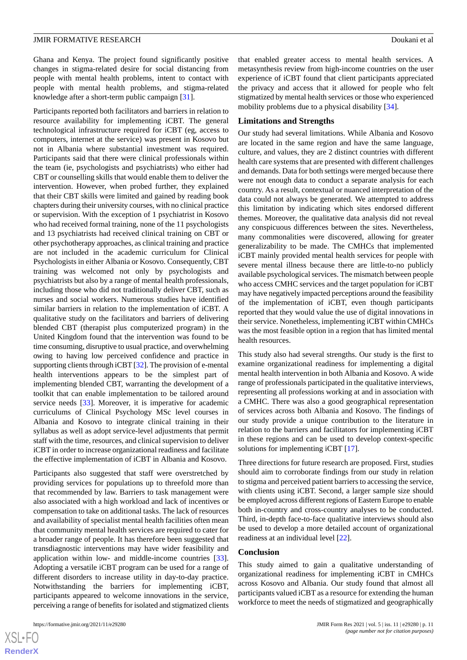Ghana and Kenya. The project found significantly positive changes in stigma-related desire for social distancing from people with mental health problems, intent to contact with people with mental health problems, and stigma-related knowledge after a short-term public campaign [[31\]](#page-12-20).

Participants reported both facilitators and barriers in relation to resource availability for implementing iCBT. The general technological infrastructure required for iCBT (eg, access to computers, internet at the service) was present in Kosovo but not in Albania where substantial investment was required. Participants said that there were clinical professionals within the team (ie, psychologists and psychiatrists) who either had CBT or counselling skills that would enable them to deliver the intervention. However, when probed further, they explained that their CBT skills were limited and gained by reading book chapters during their university courses, with no clinical practice or supervision. With the exception of 1 psychiatrist in Kosovo who had received formal training, none of the 11 psychologists and 13 psychiatrists had received clinical training on CBT or other psychotherapy approaches, as clinical training and practice are not included in the academic curriculum for Clinical Psychologists in either Albania or Kosovo. Consequently, CBT training was welcomed not only by psychologists and psychiatrists but also by a range of mental health professionals, including those who did not traditionally deliver CBT, such as nurses and social workers. Numerous studies have identified similar barriers in relation to the implementation of iCBT. A qualitative study on the facilitators and barriers of delivering blended CBT (therapist plus computerized program) in the United Kingdom found that the intervention was found to be time consuming, disruptive to usual practice, and overwhelming owing to having low perceived confidence and practice in supporting clients through iCBT [[32](#page-12-21)]. The provision of e-mental health interventions appears to be the simplest part of implementing blended CBT, warranting the development of a toolkit that can enable implementation to be tailored around service needs [\[33](#page-12-22)]. Moreover, it is imperative for academic curriculums of Clinical Psychology MSc level courses in Albania and Kosovo to integrate clinical training in their syllabus as well as adopt service-level adjustments that permit staff with the time, resources, and clinical supervision to deliver iCBT in order to increase organizational readiness and facilitate the effective implementation of iCBT in Albania and Kosovo.

Participants also suggested that staff were overstretched by providing services for populations up to threefold more than that recommended by law. Barriers to task management were also associated with a high workload and lack of incentives or compensation to take on additional tasks. The lack of resources and availability of specialist mental health facilities often mean that community mental health services are required to cater for a broader range of people. It has therefore been suggested that transdiagnostic interventions may have wider feasibility and application within low- and middle-income countries [[33\]](#page-12-22). Adopting a versatile iCBT program can be used for a range of different disorders to increase utility in day-to-day practice. Notwithstanding the barriers for implementing iCBT, participants appeared to welcome innovations in the service, perceiving a range of benefits for isolated and stigmatized clients

that enabled greater access to mental health services. A metasynthesis review from high-income countries on the user experience of iCBT found that client participants appreciated the privacy and access that it allowed for people who felt stigmatized by mental health services or those who experienced mobility problems due to a physical disability [[34\]](#page-12-23).

#### **Limitations and Strengths**

Our study had several limitations. While Albania and Kosovo are located in the same region and have the same language, culture, and values, they are 2 distinct countries with different health care systems that are presented with different challenges and demands. Data for both settings were merged because there were not enough data to conduct a separate analysis for each country. As a result, contextual or nuanced interpretation of the data could not always be generated. We attempted to address this limitation by indicating which sites endorsed different themes. Moreover, the qualitative data analysis did not reveal any conspicuous differences between the sites. Nevertheless, many commonalities were discovered, allowing for greater generalizability to be made. The CMHCs that implemented iCBT mainly provided mental health services for people with severe mental illness because there are little-to-no publicly available psychological services. The mismatch between people who access CMHC services and the target population for iCBT may have negatively impacted perceptions around the feasibility of the implementation of iCBT, even though participants reported that they would value the use of digital innovations in their service. Nonetheless, implementing iCBT within CMHCs was the most feasible option in a region that has limited mental health resources.

This study also had several strengths. Our study is the first to examine organizational readiness for implementing a digital mental health intervention in both Albania and Kosovo. A wide range of professionals participated in the qualitative interviews, representing all professions working at and in association with a CMHC. There was also a good geographical representation of services across both Albania and Kosovo. The findings of our study provide a unique contribution to the literature in relation to the barriers and facilitators for implementing iCBT in these regions and can be used to develop context-specific solutions for implementing iCBT [\[17](#page-12-6)].

Three directions for future research are proposed. First, studies should aim to corroborate findings from our study in relation to stigma and perceived patient barriers to accessing the service, with clients using iCBT. Second, a larger sample size should be employed across different regions of Eastern Europe to enable both in-country and cross-country analyses to be conducted. Third, in-depth face-to-face qualitative interviews should also be used to develop a more detailed account of organizational readiness at an individual level [[22\]](#page-12-11).

## **Conclusion**

This study aimed to gain a qualitative understanding of organizational readiness for implementing iCBT in CMHCs across Kosovo and Albania. Our study found that almost all participants valued iCBT as a resource for extending the human workforce to meet the needs of stigmatized and geographically

```
XS-FO
RenderX
```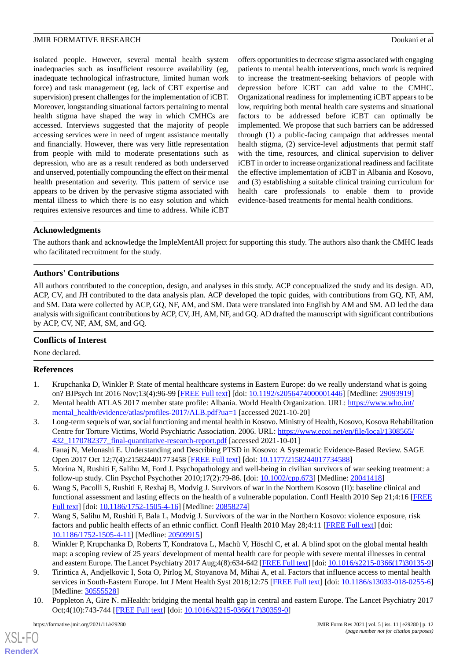## JMIR FORMATIVE RESEARCH **Doukani et al.** Doukani et al.

isolated people. However, several mental health system inadequacies such as insufficient resource availability (eg, inadequate technological infrastructure, limited human work force) and task management (eg, lack of CBT expertise and supervision) present challenges for the implementation of iCBT. Moreover, longstanding situational factors pertaining to mental health stigma have shaped the way in which CMHCs are accessed. Interviews suggested that the majority of people accessing services were in need of urgent assistance mentally and financially. However, there was very little representation from people with mild to moderate presentations such as depression, who are as a result rendered as both underserved and unserved, potentially compounding the effect on their mental health presentation and severity. This pattern of service use appears to be driven by the pervasive stigma associated with mental illness to which there is no easy solution and which requires extensive resources and time to address. While iCBT

offers opportunities to decrease stigma associated with engaging patients to mental health interventions, much work is required to increase the treatment-seeking behaviors of people with depression before iCBT can add value to the CMHC. Organizational readiness for implementing iCBT appears to be low, requiring both mental health care systems and situational factors to be addressed before iCBT can optimally be implemented. We propose that such barriers can be addressed through (1) a public-facing campaign that addresses mental health stigma, (2) service-level adjustments that permit staff with the time, resources, and clinical supervision to deliver iCBT in order to increase organizational readiness and facilitate the effective implementation of iCBT in Albania and Kosovo, and (3) establishing a suitable clinical training curriculum for health care professionals to enable them to provide evidence-based treatments for mental health conditions.

## **Acknowledgments**

The authors thank and acknowledge the ImpleMentAll project for supporting this study. The authors also thank the CMHC leads who facilitated recruitment for the study.

## **Authors' Contributions**

All authors contributed to the conception, design, and analyses in this study. ACP conceptualized the study and its design. AD, ACP, CV, and JH contributed to the data analysis plan. ACP developed the topic guides, with contributions from GQ, NF, AM, and SM. Data were collected by ACP, GQ, NF, AM, and SM. Data were translated into English by AM and SM. AD led the data analysis with significant contributions by ACP, CV, JH, AM, NF, and GQ. AD drafted the manuscript with significant contributions by ACP, CV, NF, AM, SM, and GQ.

## **Conflicts of Interest**

<span id="page-11-0"></span>None declared.

## <span id="page-11-1"></span>**References**

- <span id="page-11-2"></span>1. Krupchanka D, Winkler P. State of mental healthcare systems in Eastern Europe: do we really understand what is going on? BJPsych Int 2016 Nov;13(4):96-99 [[FREE Full text](http://europepmc.org/abstract/MED/29093919)] [doi: [10.1192/s2056474000001446\]](http://dx.doi.org/10.1192/s2056474000001446) [Medline: [29093919](http://www.ncbi.nlm.nih.gov/entrez/query.fcgi?cmd=Retrieve&db=PubMed&list_uids=29093919&dopt=Abstract)]
- <span id="page-11-3"></span>2. Mental health ATLAS 2017 member state profile: Albania. World Health Organization. URL: [https://www.who.int/](https://www.who.int/mental_health/evidence/atlas/profiles-2017/ALB.pdf?ua=1) [mental\\_health/evidence/atlas/profiles-2017/ALB.pdf?ua=1](https://www.who.int/mental_health/evidence/atlas/profiles-2017/ALB.pdf?ua=1) [accessed 2021-10-20]
- <span id="page-11-4"></span>3. Long-term sequels of war, social functioning and mental health in Kosovo. Ministry of Health, Kosovo, Kosova Rehabilitation Centre for Torture Victims, World Psychiatric Association. 2006. URL: [https://www.ecoi.net/en/file/local/1308565/](https://www.ecoi.net/en/file/local/1308565/432_1170782377_final-quantitative-research-report.pdf) [432\\_1170782377\\_final-quantitative-research-report.pdf](https://www.ecoi.net/en/file/local/1308565/432_1170782377_final-quantitative-research-report.pdf) [accessed 2021-10-01]
- 4. Fanaj N, Melonashi E. Understanding and Describing PTSD in Kosovo: A Systematic Evidence-Based Review. SAGE Open 2017 Oct 12;7(4):215824401773458 [\[FREE Full text\]](http://journals.sagepub.com/doi/10.1177/2158244017734588) [doi: [10.1177/2158244017734588](http://dx.doi.org/10.1177/2158244017734588)]
- <span id="page-11-5"></span>5. Morina N, Rushiti F, Salihu M, Ford J. Psychopathology and well-being in civilian survivors of war seeking treatment: a follow-up study. Clin Psychol Psychother 2010;17(2):79-86. [doi: [10.1002/cpp.673](http://dx.doi.org/10.1002/cpp.673)] [Medline: [20041418](http://www.ncbi.nlm.nih.gov/entrez/query.fcgi?cmd=Retrieve&db=PubMed&list_uids=20041418&dopt=Abstract)]
- <span id="page-11-6"></span>6. Wang S, Pacolli S, Rushiti F, Rexhaj B, Modvig J. Survivors of war in the Northern Kosovo (II): baseline clinical and functional assessment and lasting effects on the health of a vulnerable population. Confl Health 2010 Sep 21;4:16 [[FREE](https://conflictandhealth.biomedcentral.com/articles/10.1186/1752-1505-4-16) [Full text\]](https://conflictandhealth.biomedcentral.com/articles/10.1186/1752-1505-4-16) [doi: [10.1186/1752-1505-4-16\]](http://dx.doi.org/10.1186/1752-1505-4-16) [Medline: [20858274](http://www.ncbi.nlm.nih.gov/entrez/query.fcgi?cmd=Retrieve&db=PubMed&list_uids=20858274&dopt=Abstract)]
- <span id="page-11-7"></span>7. Wang S, Salihu M, Rushiti F, Bala L, Modvig J. Survivors of the war in the Northern Kosovo: violence exposure, risk factors and public health effects of an ethnic conflict. Confl Health 2010 May 28;4:11 [[FREE Full text](https://conflictandhealth.biomedcentral.com/articles/10.1186/1752-1505-4-11)] [doi: [10.1186/1752-1505-4-11\]](http://dx.doi.org/10.1186/1752-1505-4-11) [Medline: [20509915\]](http://www.ncbi.nlm.nih.gov/entrez/query.fcgi?cmd=Retrieve&db=PubMed&list_uids=20509915&dopt=Abstract)
- <span id="page-11-8"></span>8. Winkler P, Krupchanka D, Roberts T, Kondratova L, Machů V, Höschl C, et al. A blind spot on the global mental health map: a scoping review of 25 years' development of mental health care for people with severe mental illnesses in central and eastern Europe. The Lancet Psychiatry 2017 Aug;4(8):634-642 [\[FREE Full text\]](http://www.thelancet.com/article/S2215036617301359/fulltext) [doi: [10.1016/s2215-0366\(17\)30135-9](http://dx.doi.org/10.1016/s2215-0366(17)30135-9)]
- 9. Tirintica A, Andjelkovic I, Sota O, Pirlog M, Stoyanova M, Mihai A, et al. Factors that influence access to mental health services in South-Eastern Europe. Int J Ment Health Syst 2018;12:75 [[FREE Full text](https://ijmhs.biomedcentral.com/articles/10.1186/s13033-018-0255-6)] [doi: [10.1186/s13033-018-0255-6](http://dx.doi.org/10.1186/s13033-018-0255-6)] [Medline: [30555528](http://www.ncbi.nlm.nih.gov/entrez/query.fcgi?cmd=Retrieve&db=PubMed&list_uids=30555528&dopt=Abstract)]
- 10. Poppleton A, Gire N. mHealth: bridging the mental health gap in central and eastern Europe. The Lancet Psychiatry 2017 Oct;4(10):743-744 [\[FREE Full text\]](http://statystyka.policja.pl/st/) [doi: [10.1016/s2215-0366\(17\)30359-0\]](http://dx.doi.org/10.1016/s2215-0366(17)30359-0)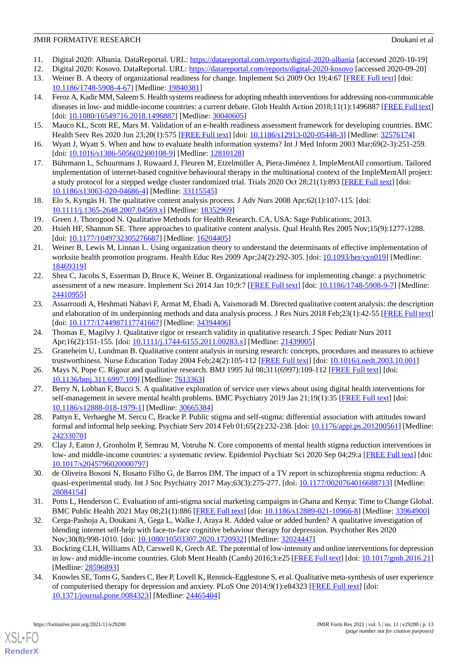## JMIR FORMATIVE RESEARCH **Doukani et al.** Doukani et al.

- <span id="page-12-1"></span><span id="page-12-0"></span>11. Digital 2020: Albania. DataReportal. URL:<https://datareportal.com/reports/digital-2020-albania> [accessed 2020-10-19]
- <span id="page-12-2"></span>12. Digital 2020: Kosovo. DataReportal. URL:<https://datareportal.com/reports/digital-2020-kosovo> [accessed 2020-09-20]
- <span id="page-12-3"></span>13. Weiner B. A theory of organizational readiness for change. Implement Sci 2009 Oct 19;4:67 [[FREE Full text\]](https://implementationscience.biomedcentral.com/articles/10.1186/1748-5908-4-67) [doi: [10.1186/1748-5908-4-67\]](http://dx.doi.org/10.1186/1748-5908-4-67) [Medline: [19840381\]](http://www.ncbi.nlm.nih.gov/entrez/query.fcgi?cmd=Retrieve&db=PubMed&list_uids=19840381&dopt=Abstract)
- 14. Feroz A, Kadir MM, Saleem S. Health systems readiness for adopting mhealth interventions for addressing non-communicable diseases in low- and middle-income countries: a current debate. Glob Health Action 2018;11(1):1496887 [[FREE Full text](http://europepmc.org/abstract/MED/30040605)] [doi: [10.1080/16549716.2018.1496887](http://dx.doi.org/10.1080/16549716.2018.1496887)] [Medline: [30040605\]](http://www.ncbi.nlm.nih.gov/entrez/query.fcgi?cmd=Retrieve&db=PubMed&list_uids=30040605&dopt=Abstract)
- <span id="page-12-5"></span><span id="page-12-4"></span>15. Mauco KL, Scott RE, Mars M. Validation of an e-health readiness assessment framework for developing countries. BMC Health Serv Res 2020 Jun 23;20(1):575 [[FREE Full text](https://bmchealthservres.biomedcentral.com/articles/10.1186/s12913-020-05448-3)] [doi: [10.1186/s12913-020-05448-3\]](http://dx.doi.org/10.1186/s12913-020-05448-3) [Medline: [32576174\]](http://www.ncbi.nlm.nih.gov/entrez/query.fcgi?cmd=Retrieve&db=PubMed&list_uids=32576174&dopt=Abstract)
- <span id="page-12-6"></span>16. Wyatt J, Wyatt S. When and how to evaluate health information systems? Int J Med Inform 2003 Mar;69(2-3):251-259. [doi: [10.1016/s1386-5056\(02\)00108-9](http://dx.doi.org/10.1016/s1386-5056(02)00108-9)] [Medline: [12810128](http://www.ncbi.nlm.nih.gov/entrez/query.fcgi?cmd=Retrieve&db=PubMed&list_uids=12810128&dopt=Abstract)]
- <span id="page-12-7"></span>17. Bührmann L, Schuurmans J, Ruwaard J, Fleuren M, Etzelmüller A, Piera-Jiménez J, ImpleMentAll consortium. Tailored implementation of internet-based cognitive behavioural therapy in the multinational context of the ImpleMentAll project: a study protocol for a stepped wedge cluster randomized trial. Trials 2020 Oct 28;21(1):893 [\[FREE Full text\]](https://trialsjournal.biomedcentral.com/articles/10.1186/s13063-020-04686-4) [doi: [10.1186/s13063-020-04686-4\]](http://dx.doi.org/10.1186/s13063-020-04686-4) [Medline: [33115545\]](http://www.ncbi.nlm.nih.gov/entrez/query.fcgi?cmd=Retrieve&db=PubMed&list_uids=33115545&dopt=Abstract)
- <span id="page-12-9"></span><span id="page-12-8"></span>18. Elo S, Kyngäs H. The qualitative content analysis process. J Adv Nurs 2008 Apr;62(1):107-115. [doi: [10.1111/j.1365-2648.2007.04569.x\]](http://dx.doi.org/10.1111/j.1365-2648.2007.04569.x) [Medline: [18352969\]](http://www.ncbi.nlm.nih.gov/entrez/query.fcgi?cmd=Retrieve&db=PubMed&list_uids=18352969&dopt=Abstract)
- <span id="page-12-10"></span>19. Green J, Thorogood N. Qualitative Methods for Health Research. CA, USA: Sage Publications; 2013.
- 20. Hsieh HF, Shannon SE. Three approaches to qualitative content analysis. Qual Health Res 2005 Nov;15(9):1277-1288. [doi: [10.1177/1049732305276687](http://dx.doi.org/10.1177/1049732305276687)] [Medline: [16204405\]](http://www.ncbi.nlm.nih.gov/entrez/query.fcgi?cmd=Retrieve&db=PubMed&list_uids=16204405&dopt=Abstract)
- <span id="page-12-11"></span>21. Weiner B, Lewis M, Linnan L. Using organization theory to understand the determinants of effective implementation of worksite health promotion programs. Health Educ Res 2009 Apr;24(2):292-305. [doi: [10.1093/her/cyn019](http://dx.doi.org/10.1093/her/cyn019)] [Medline: [18469319](http://www.ncbi.nlm.nih.gov/entrez/query.fcgi?cmd=Retrieve&db=PubMed&list_uids=18469319&dopt=Abstract)]
- <span id="page-12-12"></span>22. Shea C, Jacobs S, Esserman D, Bruce K, Weiner B. Organizational readiness for implementing change: a psychometric assessment of a new measure. Implement Sci 2014 Jan 10;9:7 [\[FREE Full text\]](https://implementationscience.biomedcentral.com/articles/10.1186/1748-5908-9-7) [doi: [10.1186/1748-5908-9-7](http://dx.doi.org/10.1186/1748-5908-9-7)] [Medline: [24410955](http://www.ncbi.nlm.nih.gov/entrez/query.fcgi?cmd=Retrieve&db=PubMed&list_uids=24410955&dopt=Abstract)]
- <span id="page-12-14"></span><span id="page-12-13"></span>23. Assarroudi A, Heshmati Nabavi F, Armat M, Ebadi A, Vaismoradi M. Directed qualitative content analysis: the description and elaboration of its underpinning methods and data analysis process. J Res Nurs 2018 Feb;23(1):42-55 [\[FREE Full text](http://europepmc.org/abstract/MED/34394406)] [doi: [10.1177/1744987117741667](http://dx.doi.org/10.1177/1744987117741667)] [Medline: [34394406\]](http://www.ncbi.nlm.nih.gov/entrez/query.fcgi?cmd=Retrieve&db=PubMed&list_uids=34394406&dopt=Abstract)
- <span id="page-12-15"></span>24. Thomas E, Magilvy J. Qualitative rigor or research validity in qualitative research. J Spec Pediatr Nurs 2011 Apr;16(2):151-155. [doi: [10.1111/j.1744-6155.2011.00283.x](http://dx.doi.org/10.1111/j.1744-6155.2011.00283.x)] [Medline: [21439005](http://www.ncbi.nlm.nih.gov/entrez/query.fcgi?cmd=Retrieve&db=PubMed&list_uids=21439005&dopt=Abstract)]
- <span id="page-12-16"></span>25. Graneheim U, Lundman B. Qualitative content analysis in nursing research: concepts, procedures and measures to achieve trustworthiness. Nurse Education Today 2004 Feb;24(2):105-112 [\[FREE Full text\]](https://www.sciencedirect.com/science/article/pii/S0260691703001515) [doi: [10.1016/j.nedt.2003.10.001](http://dx.doi.org/10.1016/j.nedt.2003.10.001)]
- <span id="page-12-17"></span>26. Mays N, Pope C. Rigour and qualitative research. BMJ 1995 Jul 08;311(6997):109-112 [\[FREE Full text\]](http://europepmc.org/abstract/MED/7613363) [doi: [10.1136/bmj.311.6997.109\]](http://dx.doi.org/10.1136/bmj.311.6997.109) [Medline: [7613363\]](http://www.ncbi.nlm.nih.gov/entrez/query.fcgi?cmd=Retrieve&db=PubMed&list_uids=7613363&dopt=Abstract)
- <span id="page-12-18"></span>27. Berry N, Lobban F, Bucci S. A qualitative exploration of service user views about using digital health interventions for self-management in severe mental health problems. BMC Psychiatry 2019 Jan 21;19(1):35 [[FREE Full text\]](https://bmcpsychiatry.biomedcentral.com/articles/10.1186/s12888-018-1979-1) [doi: [10.1186/s12888-018-1979-1\]](http://dx.doi.org/10.1186/s12888-018-1979-1) [Medline: [30665384](http://www.ncbi.nlm.nih.gov/entrez/query.fcgi?cmd=Retrieve&db=PubMed&list_uids=30665384&dopt=Abstract)]
- <span id="page-12-19"></span>28. Pattyn E, Verhaeghe M, Sercu C, Bracke P. Public stigma and self-stigma: differential association with attitudes toward formal and informal help seeking. Psychiatr Serv 2014 Feb 01;65(2):232-238. [doi: [10.1176/appi.ps.201200561](http://dx.doi.org/10.1176/appi.ps.201200561)] [Medline: [24233070](http://www.ncbi.nlm.nih.gov/entrez/query.fcgi?cmd=Retrieve&db=PubMed&list_uids=24233070&dopt=Abstract)]
- <span id="page-12-20"></span>29. Clay J, Eaton J, Gronholm P, Semrau M, Votruba N. Core components of mental health stigma reduction interventions in low- and middle-income countries: a systematic review. Epidemiol Psychiatr Sci 2020 Sep 04;29:a [[FREE Full text](https://pubmed.ncbi.nlm.nih.gov/32883399/)] [doi: [10.1017/s2045796020000797\]](http://dx.doi.org/10.1017/s2045796020000797)
- <span id="page-12-21"></span>30. de Oliveira Bosoni N, Busatto Filho G, de Barros DM. The impact of a TV report in schizophrenia stigma reduction: A quasi-experimental study. Int J Soc Psychiatry 2017 May;63(3):275-277. [doi: [10.1177/0020764016688713\]](http://dx.doi.org/10.1177/0020764016688713) [Medline: [28084154](http://www.ncbi.nlm.nih.gov/entrez/query.fcgi?cmd=Retrieve&db=PubMed&list_uids=28084154&dopt=Abstract)]
- <span id="page-12-22"></span>31. Potts L, Henderson C. Evaluation of anti-stigma social marketing campaigns in Ghana and Kenya: Time to Change Global. BMC Public Health 2021 May 08;21(1):886 [[FREE Full text](https://bmcpublichealth.biomedcentral.com/articles/10.1186/s12889-021-10966-8)] [doi: [10.1186/s12889-021-10966-8\]](http://dx.doi.org/10.1186/s12889-021-10966-8) [Medline: [33964900](http://www.ncbi.nlm.nih.gov/entrez/query.fcgi?cmd=Retrieve&db=PubMed&list_uids=33964900&dopt=Abstract)]
- <span id="page-12-23"></span>32. Cerga-Pashoja A, Doukani A, Gega L, Walke J, Araya R. Added value or added burden? A qualitative investigation of blending internet self-help with face-to-face cognitive behaviour therapy for depression. Psychother Res 2020 Nov;30(8):998-1010. [doi: [10.1080/10503307.2020.1720932\]](http://dx.doi.org/10.1080/10503307.2020.1720932) [Medline: [32024447\]](http://www.ncbi.nlm.nih.gov/entrez/query.fcgi?cmd=Retrieve&db=PubMed&list_uids=32024447&dopt=Abstract)
- 33. Bockting CLH, Williams AD, Carswell K, Grech AE. The potential of low-intensity and online interventions for depression in low- and middle-income countries. Glob Ment Health (Camb) 2016;3:e25 [[FREE Full text\]](http://europepmc.org/abstract/MED/28596893) [doi: [10.1017/gmh.2016.21](http://dx.doi.org/10.1017/gmh.2016.21)] [Medline: [28596893](http://www.ncbi.nlm.nih.gov/entrez/query.fcgi?cmd=Retrieve&db=PubMed&list_uids=28596893&dopt=Abstract)]
- 34. Knowles SE, Toms G, Sanders C, Bee P, Lovell K, Rennick-Egglestone S, et al. Qualitative meta-synthesis of user experience of computerised therapy for depression and anxiety. PLoS One 2014;9(1):e84323 [[FREE Full text](https://dx.plos.org/10.1371/journal.pone.0084323)] [doi: [10.1371/journal.pone.0084323\]](http://dx.doi.org/10.1371/journal.pone.0084323) [Medline: [24465404](http://www.ncbi.nlm.nih.gov/entrez/query.fcgi?cmd=Retrieve&db=PubMed&list_uids=24465404&dopt=Abstract)]